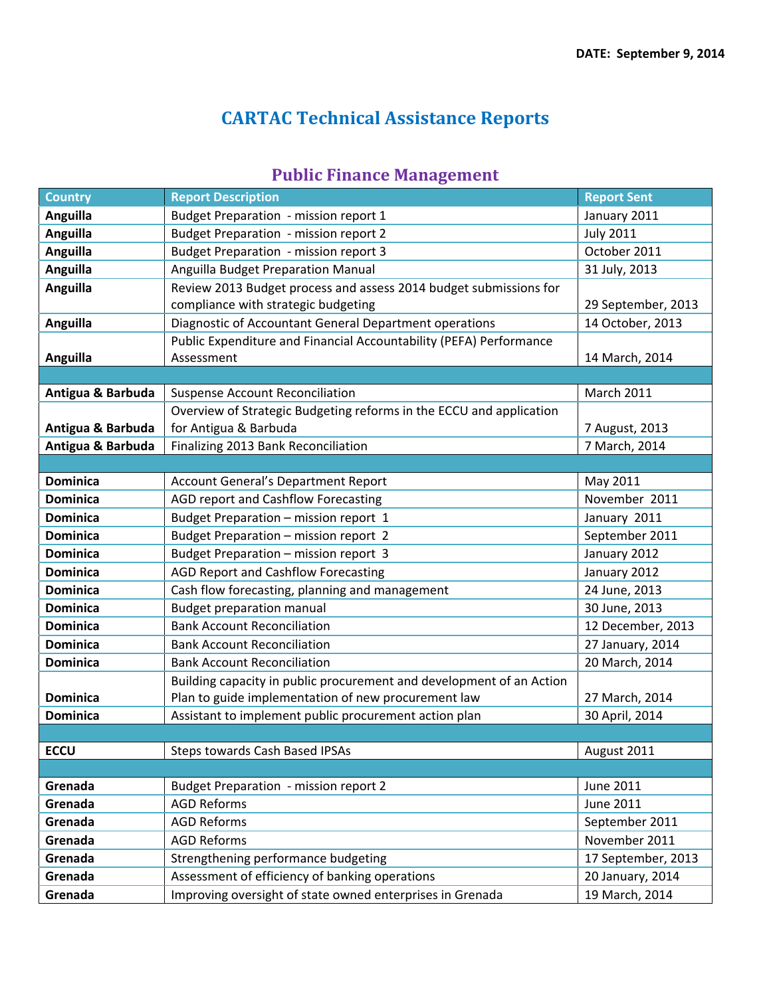## **CARTAC Technical Assistance Reports**

## **Public Finance Management**

| <b>Country</b>    | <b>Report Description</b>                                            | <b>Report Sent</b> |
|-------------------|----------------------------------------------------------------------|--------------------|
| <b>Anguilla</b>   | Budget Preparation - mission report 1                                | January 2011       |
| <b>Anguilla</b>   | <b>Budget Preparation - mission report 2</b>                         | <b>July 2011</b>   |
| <b>Anguilla</b>   | <b>Budget Preparation - mission report 3</b>                         | October 2011       |
| Anguilla          | Anguilla Budget Preparation Manual                                   | 31 July, 2013      |
| Anguilla          | Review 2013 Budget process and assess 2014 budget submissions for    |                    |
|                   | compliance with strategic budgeting                                  | 29 September, 2013 |
| Anguilla          | Diagnostic of Accountant General Department operations               | 14 October, 2013   |
|                   | Public Expenditure and Financial Accountability (PEFA) Performance   |                    |
| Anguilla          | Assessment                                                           | 14 March, 2014     |
|                   |                                                                      |                    |
| Antigua & Barbuda | <b>Suspense Account Reconciliation</b>                               | <b>March 2011</b>  |
|                   | Overview of Strategic Budgeting reforms in the ECCU and application  |                    |
| Antigua & Barbuda | for Antigua & Barbuda                                                | 7 August, 2013     |
| Antigua & Barbuda | Finalizing 2013 Bank Reconciliation                                  | 7 March, 2014      |
|                   |                                                                      |                    |
| <b>Dominica</b>   | <b>Account General's Department Report</b>                           | May 2011           |
| <b>Dominica</b>   | AGD report and Cashflow Forecasting                                  | November 2011      |
| <b>Dominica</b>   | Budget Preparation - mission report 1                                | January 2011       |
| <b>Dominica</b>   | Budget Preparation - mission report 2                                | September 2011     |
| <b>Dominica</b>   | Budget Preparation - mission report 3                                | January 2012       |
| <b>Dominica</b>   | <b>AGD Report and Cashflow Forecasting</b>                           | January 2012       |
| <b>Dominica</b>   | Cash flow forecasting, planning and management                       | 24 June, 2013      |
| <b>Dominica</b>   | <b>Budget preparation manual</b>                                     | 30 June, 2013      |
| <b>Dominica</b>   | <b>Bank Account Reconciliation</b>                                   | 12 December, 2013  |
| <b>Dominica</b>   | <b>Bank Account Reconciliation</b>                                   | 27 January, 2014   |
| <b>Dominica</b>   | <b>Bank Account Reconciliation</b>                                   | 20 March, 2014     |
|                   | Building capacity in public procurement and development of an Action |                    |
| <b>Dominica</b>   | Plan to guide implementation of new procurement law                  | 27 March, 2014     |
| <b>Dominica</b>   | Assistant to implement public procurement action plan                | 30 April, 2014     |
|                   |                                                                      |                    |
| <b>ECCU</b>       | Steps towards Cash Based IPSAs                                       | August 2011        |
|                   |                                                                      |                    |
| Grenada           | <b>Budget Preparation - mission report 2</b>                         | <b>June 2011</b>   |
| Grenada           | <b>AGD Reforms</b>                                                   | June 2011          |
| Grenada           | <b>AGD Reforms</b>                                                   | September 2011     |
| Grenada           | <b>AGD Reforms</b>                                                   | November 2011      |
| Grenada           | Strengthening performance budgeting                                  | 17 September, 2013 |
| Grenada           | Assessment of efficiency of banking operations                       | 20 January, 2014   |
| Grenada           | Improving oversight of state owned enterprises in Grenada            | 19 March, 2014     |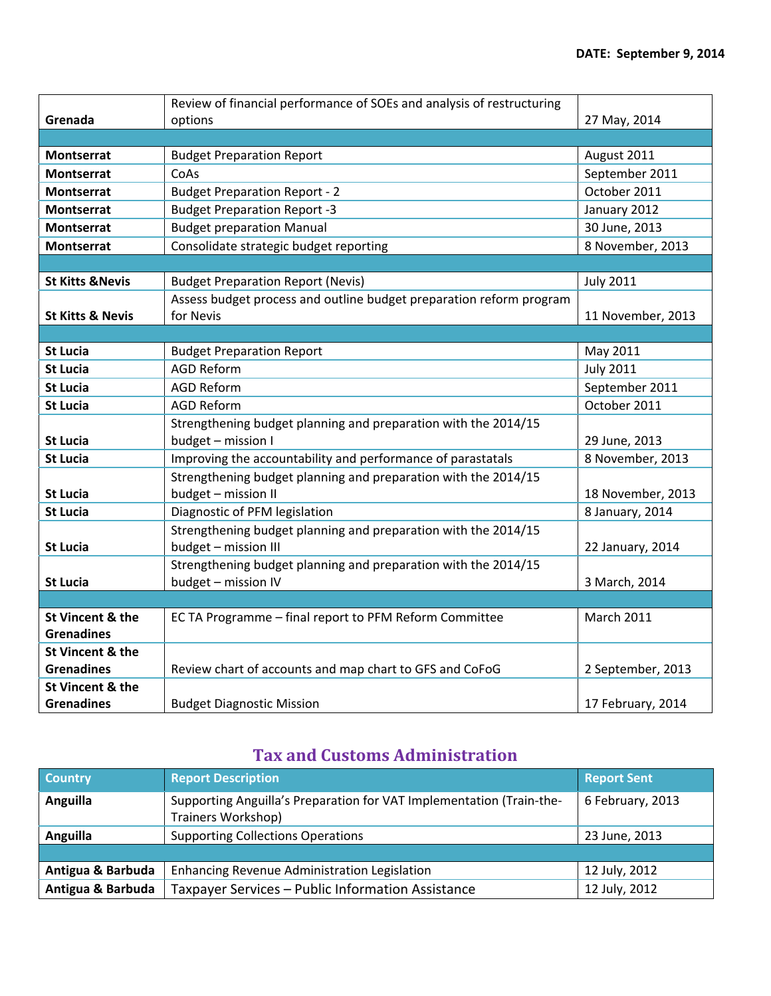|                             | Review of financial performance of SOEs and analysis of restructuring |                   |
|-----------------------------|-----------------------------------------------------------------------|-------------------|
| Grenada                     | options                                                               | 27 May, 2014      |
|                             |                                                                       |                   |
| <b>Montserrat</b>           | <b>Budget Preparation Report</b>                                      | August 2011       |
| <b>Montserrat</b>           | CoAs                                                                  | September 2011    |
| <b>Montserrat</b>           | <b>Budget Preparation Report - 2</b>                                  | October 2011      |
| <b>Montserrat</b>           | <b>Budget Preparation Report -3</b>                                   | January 2012      |
| <b>Montserrat</b>           | <b>Budget preparation Manual</b>                                      | 30 June, 2013     |
| <b>Montserrat</b>           | Consolidate strategic budget reporting                                | 8 November, 2013  |
|                             |                                                                       |                   |
| <b>St Kitts &amp; Nevis</b> | <b>Budget Preparation Report (Nevis)</b>                              | <b>July 2011</b>  |
|                             | Assess budget process and outline budget preparation reform program   |                   |
| <b>St Kitts &amp; Nevis</b> | for Nevis                                                             | 11 November, 2013 |
|                             |                                                                       |                   |
| <b>St Lucia</b>             | <b>Budget Preparation Report</b>                                      | May 2011          |
| <b>St Lucia</b>             | <b>AGD Reform</b>                                                     | <b>July 2011</b>  |
| <b>St Lucia</b>             | <b>AGD Reform</b>                                                     | September 2011    |
| <b>St Lucia</b>             | <b>AGD Reform</b>                                                     | October 2011      |
|                             | Strengthening budget planning and preparation with the 2014/15        |                   |
| <b>St Lucia</b>             | budget - mission I                                                    | 29 June, 2013     |
| <b>St Lucia</b>             | Improving the accountability and performance of parastatals           | 8 November, 2013  |
|                             | Strengthening budget planning and preparation with the 2014/15        |                   |
| <b>St Lucia</b>             | budget - mission II                                                   | 18 November, 2013 |
| <b>St Lucia</b>             | Diagnostic of PFM legislation                                         | 8 January, 2014   |
|                             | Strengthening budget planning and preparation with the 2014/15        |                   |
| <b>St Lucia</b>             | budget - mission III                                                  | 22 January, 2014  |
|                             | Strengthening budget planning and preparation with the 2014/15        |                   |
| <b>St Lucia</b>             | budget - mission IV                                                   | 3 March, 2014     |
|                             |                                                                       |                   |
| St Vincent & the            | EC TA Programme - final report to PFM Reform Committee                | <b>March 2011</b> |
| <b>Grenadines</b>           |                                                                       |                   |
| St Vincent & the            |                                                                       |                   |
| <b>Grenadines</b>           | Review chart of accounts and map chart to GFS and CoFoG               | 2 September, 2013 |
| St Vincent & the            |                                                                       |                   |
| <b>Grenadines</b>           | <b>Budget Diagnostic Mission</b>                                      | 17 February, 2014 |

## **Tax and Customs Administration**

| <b>Country</b>    | <b>Report Description</b>                                                                  | <b>Report Sent</b> |
|-------------------|--------------------------------------------------------------------------------------------|--------------------|
| Anguilla          | Supporting Anguilla's Preparation for VAT Implementation (Train-the-<br>Trainers Workshop) | 6 February, 2013   |
| Anguilla          | <b>Supporting Collections Operations</b>                                                   | 23 June, 2013      |
|                   |                                                                                            |                    |
| Antigua & Barbuda | Enhancing Revenue Administration Legislation                                               | 12 July, 2012      |
| Antigua & Barbuda | Taxpayer Services - Public Information Assistance                                          | 12 July, 2012      |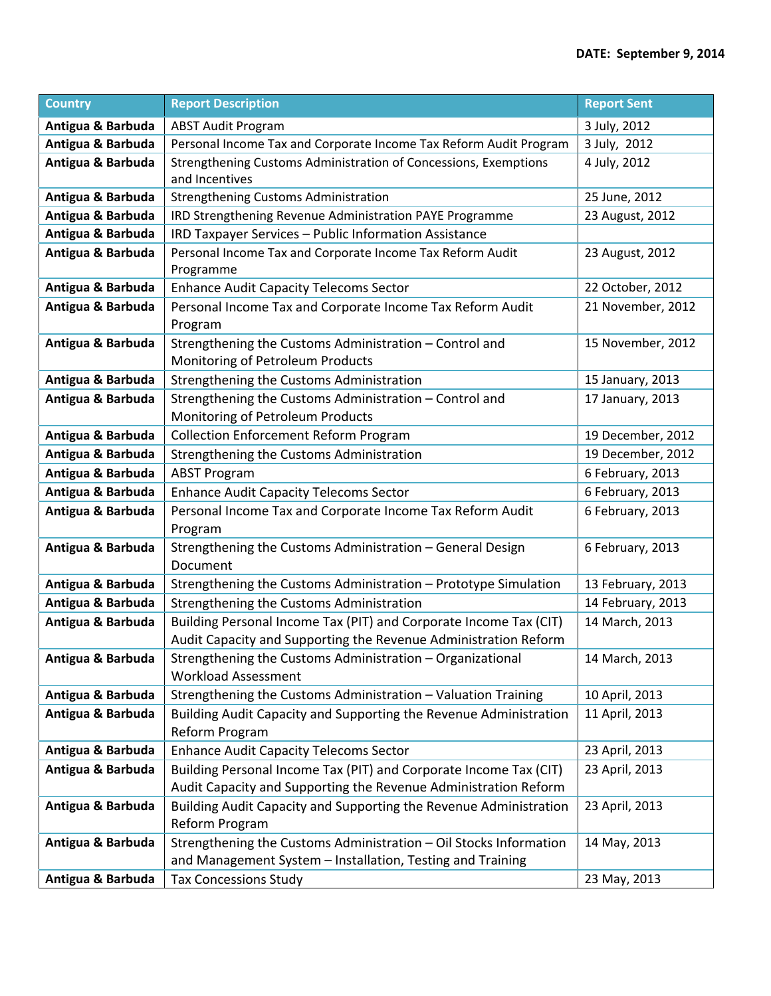| <b>Country</b>    | <b>Report Description</b>                                                                                                            | <b>Report Sent</b> |
|-------------------|--------------------------------------------------------------------------------------------------------------------------------------|--------------------|
| Antigua & Barbuda | <b>ABST Audit Program</b>                                                                                                            | 3 July, 2012       |
| Antigua & Barbuda | Personal Income Tax and Corporate Income Tax Reform Audit Program                                                                    | 3 July, 2012       |
| Antigua & Barbuda | Strengthening Customs Administration of Concessions, Exemptions<br>and Incentives                                                    | 4 July, 2012       |
| Antigua & Barbuda | <b>Strengthening Customs Administration</b>                                                                                          | 25 June, 2012      |
| Antigua & Barbuda | IRD Strengthening Revenue Administration PAYE Programme                                                                              | 23 August, 2012    |
| Antigua & Barbuda | IRD Taxpayer Services - Public Information Assistance                                                                                |                    |
| Antigua & Barbuda | Personal Income Tax and Corporate Income Tax Reform Audit                                                                            | 23 August, 2012    |
|                   | Programme                                                                                                                            |                    |
| Antigua & Barbuda | <b>Enhance Audit Capacity Telecoms Sector</b>                                                                                        | 22 October, 2012   |
| Antigua & Barbuda | Personal Income Tax and Corporate Income Tax Reform Audit<br>Program                                                                 | 21 November, 2012  |
| Antigua & Barbuda | Strengthening the Customs Administration - Control and<br>Monitoring of Petroleum Products                                           | 15 November, 2012  |
| Antigua & Barbuda | Strengthening the Customs Administration                                                                                             | 15 January, 2013   |
| Antigua & Barbuda | Strengthening the Customs Administration - Control and<br>Monitoring of Petroleum Products                                           | 17 January, 2013   |
| Antigua & Barbuda | <b>Collection Enforcement Reform Program</b>                                                                                         | 19 December, 2012  |
| Antigua & Barbuda | Strengthening the Customs Administration                                                                                             | 19 December, 2012  |
| Antigua & Barbuda | <b>ABST Program</b>                                                                                                                  | 6 February, 2013   |
| Antigua & Barbuda | <b>Enhance Audit Capacity Telecoms Sector</b>                                                                                        | 6 February, 2013   |
| Antigua & Barbuda | Personal Income Tax and Corporate Income Tax Reform Audit<br>Program                                                                 | 6 February, 2013   |
| Antigua & Barbuda | Strengthening the Customs Administration - General Design<br>Document                                                                | 6 February, 2013   |
| Antigua & Barbuda | Strengthening the Customs Administration - Prototype Simulation                                                                      | 13 February, 2013  |
| Antigua & Barbuda | Strengthening the Customs Administration                                                                                             | 14 February, 2013  |
| Antigua & Barbuda | Building Personal Income Tax (PIT) and Corporate Income Tax (CIT)<br>Audit Capacity and Supporting the Revenue Administration Reform | 14 March, 2013     |
| Antigua & Barbuda | Strengthening the Customs Administration - Organizational<br><b>Workload Assessment</b>                                              | 14 March, 2013     |
| Antigua & Barbuda | Strengthening the Customs Administration - Valuation Training                                                                        | 10 April, 2013     |
| Antigua & Barbuda | Building Audit Capacity and Supporting the Revenue Administration<br>Reform Program                                                  | 11 April, 2013     |
| Antigua & Barbuda | <b>Enhance Audit Capacity Telecoms Sector</b>                                                                                        | 23 April, 2013     |
| Antigua & Barbuda | Building Personal Income Tax (PIT) and Corporate Income Tax (CIT)                                                                    | 23 April, 2013     |
|                   | Audit Capacity and Supporting the Revenue Administration Reform                                                                      |                    |
| Antigua & Barbuda | Building Audit Capacity and Supporting the Revenue Administration<br>Reform Program                                                  | 23 April, 2013     |
| Antigua & Barbuda | Strengthening the Customs Administration - Oil Stocks Information<br>and Management System - Installation, Testing and Training      | 14 May, 2013       |
| Antigua & Barbuda | <b>Tax Concessions Study</b>                                                                                                         | 23 May, 2013       |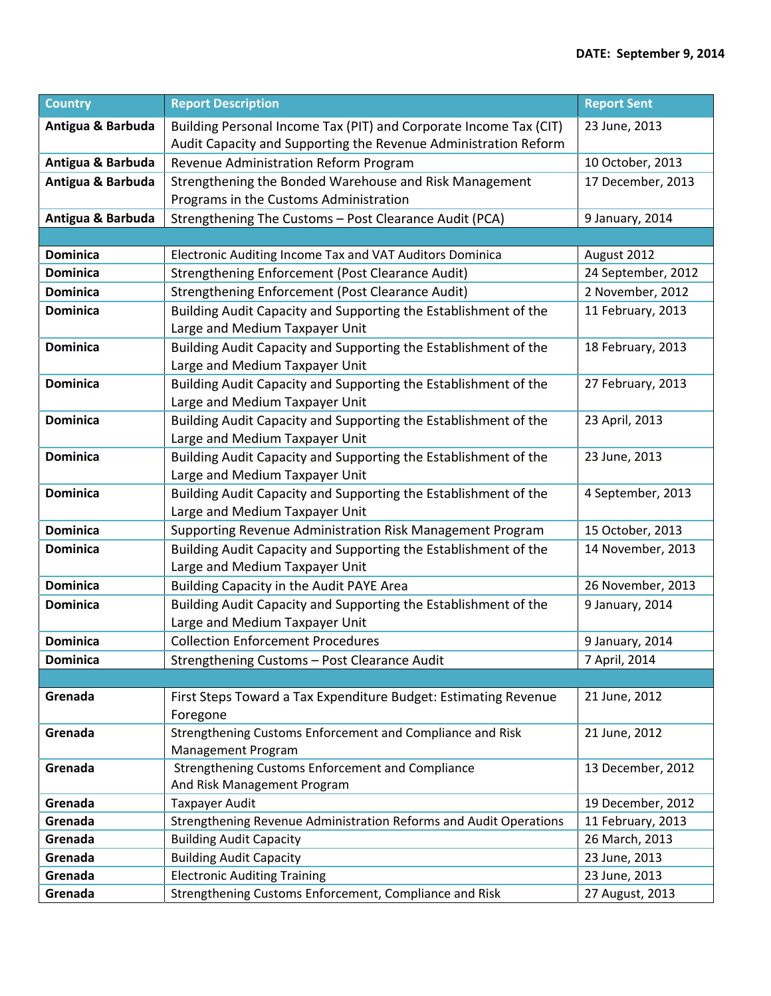| <b>Country</b>    | <b>Report Description</b>                                                                         | <b>Report Sent</b> |
|-------------------|---------------------------------------------------------------------------------------------------|--------------------|
| Antigua & Barbuda | Building Personal Income Tax (PIT) and Corporate Income Tax (CIT)                                 | 23 June, 2013      |
|                   | Audit Capacity and Supporting the Revenue Administration Reform                                   |                    |
| Antigua & Barbuda | Revenue Administration Reform Program                                                             | 10 October, 2013   |
| Antigua & Barbuda | Strengthening the Bonded Warehouse and Risk Management<br>Programs in the Customs Administration  | 17 December, 2013  |
| Antigua & Barbuda | Strengthening The Customs - Post Clearance Audit (PCA)                                            | 9 January, 2014    |
|                   |                                                                                                   |                    |
| <b>Dominica</b>   | Electronic Auditing Income Tax and VAT Auditors Dominica                                          | August 2012        |
| <b>Dominica</b>   | Strengthening Enforcement (Post Clearance Audit)                                                  | 24 September, 2012 |
| <b>Dominica</b>   | Strengthening Enforcement (Post Clearance Audit)                                                  | 2 November, 2012   |
| <b>Dominica</b>   | Building Audit Capacity and Supporting the Establishment of the<br>Large and Medium Taxpayer Unit | 11 February, 2013  |
| <b>Dominica</b>   | Building Audit Capacity and Supporting the Establishment of the<br>Large and Medium Taxpayer Unit | 18 February, 2013  |
| <b>Dominica</b>   | Building Audit Capacity and Supporting the Establishment of the<br>Large and Medium Taxpayer Unit | 27 February, 2013  |
| <b>Dominica</b>   | Building Audit Capacity and Supporting the Establishment of the<br>Large and Medium Taxpayer Unit | 23 April, 2013     |
| <b>Dominica</b>   | Building Audit Capacity and Supporting the Establishment of the<br>Large and Medium Taxpayer Unit | 23 June, 2013      |
| <b>Dominica</b>   | Building Audit Capacity and Supporting the Establishment of the<br>Large and Medium Taxpayer Unit | 4 September, 2013  |
| <b>Dominica</b>   | Supporting Revenue Administration Risk Management Program                                         | 15 October, 2013   |
| <b>Dominica</b>   | Building Audit Capacity and Supporting the Establishment of the<br>Large and Medium Taxpayer Unit | 14 November, 2013  |
| <b>Dominica</b>   | Building Capacity in the Audit PAYE Area                                                          | 26 November, 2013  |
| <b>Dominica</b>   | Building Audit Capacity and Supporting the Establishment of the<br>Large and Medium Taxpayer Unit | 9 January, 2014    |
| <b>Dominica</b>   | <b>Collection Enforcement Procedures</b>                                                          | 9 January, 2014    |
| <b>Dominica</b>   | Strengthening Customs - Post Clearance Audit                                                      | 7 April, 2014      |
|                   |                                                                                                   |                    |
| Grenada           | First Steps Toward a Tax Expenditure Budget: Estimating Revenue<br>Foregone                       | 21 June, 2012      |
| Grenada           | Strengthening Customs Enforcement and Compliance and Risk<br>Management Program                   | 21 June, 2012      |
| Grenada           | Strengthening Customs Enforcement and Compliance<br>And Risk Management Program                   | 13 December, 2012  |
| Grenada           | <b>Taxpayer Audit</b>                                                                             | 19 December, 2012  |
| Grenada           | Strengthening Revenue Administration Reforms and Audit Operations                                 | 11 February, 2013  |
| Grenada           | <b>Building Audit Capacity</b>                                                                    | 26 March, 2013     |
| Grenada           | <b>Building Audit Capacity</b>                                                                    | 23 June, 2013      |
| Grenada           | <b>Electronic Auditing Training</b>                                                               | 23 June, 2013      |
| Grenada           | Strengthening Customs Enforcement, Compliance and Risk                                            | 27 August, 2013    |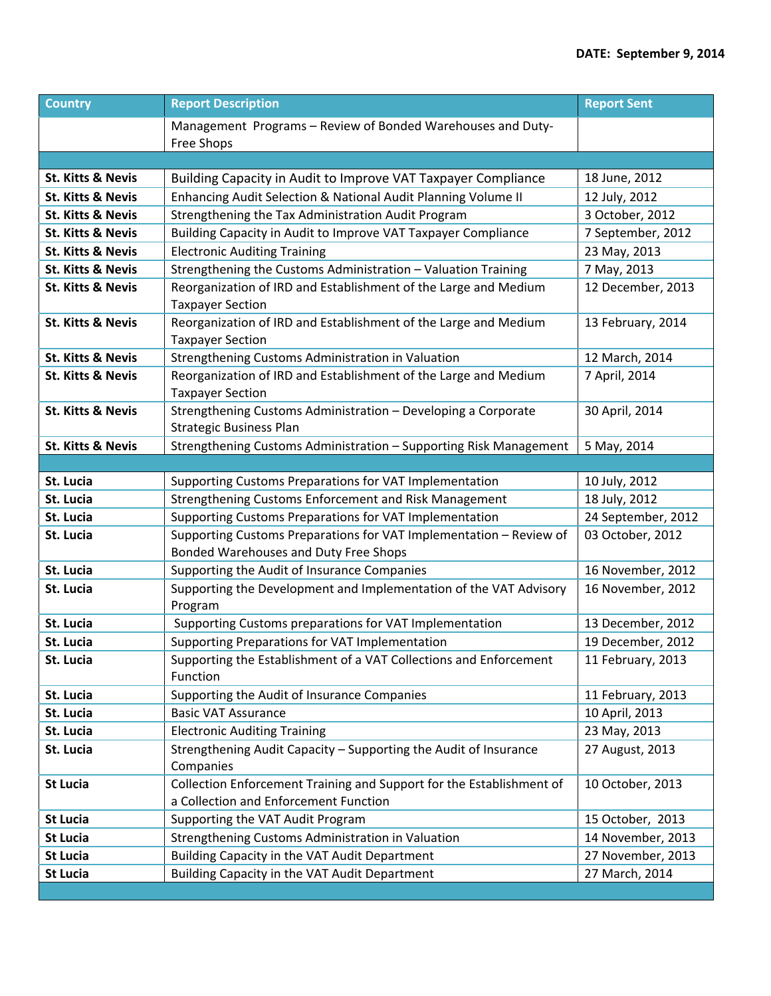| <b>Country</b>               | <b>Report Description</b>                                                                                     | <b>Report Sent</b> |
|------------------------------|---------------------------------------------------------------------------------------------------------------|--------------------|
|                              | Management Programs - Review of Bonded Warehouses and Duty-<br>Free Shops                                     |                    |
|                              |                                                                                                               |                    |
| <b>St. Kitts &amp; Nevis</b> | Building Capacity in Audit to Improve VAT Taxpayer Compliance                                                 | 18 June, 2012      |
| <b>St. Kitts &amp; Nevis</b> | Enhancing Audit Selection & National Audit Planning Volume II                                                 | 12 July, 2012      |
| <b>St. Kitts &amp; Nevis</b> | Strengthening the Tax Administration Audit Program                                                            | 3 October, 2012    |
| <b>St. Kitts &amp; Nevis</b> | Building Capacity in Audit to Improve VAT Taxpayer Compliance                                                 | 7 September, 2012  |
| <b>St. Kitts &amp; Nevis</b> | <b>Electronic Auditing Training</b>                                                                           | 23 May, 2013       |
| <b>St. Kitts &amp; Nevis</b> | Strengthening the Customs Administration - Valuation Training                                                 | 7 May, 2013        |
| <b>St. Kitts &amp; Nevis</b> | Reorganization of IRD and Establishment of the Large and Medium<br><b>Taxpayer Section</b>                    | 12 December, 2013  |
| <b>St. Kitts &amp; Nevis</b> | Reorganization of IRD and Establishment of the Large and Medium<br><b>Taxpayer Section</b>                    | 13 February, 2014  |
| <b>St. Kitts &amp; Nevis</b> | Strengthening Customs Administration in Valuation                                                             | 12 March, 2014     |
| <b>St. Kitts &amp; Nevis</b> | Reorganization of IRD and Establishment of the Large and Medium<br><b>Taxpayer Section</b>                    | 7 April, 2014      |
| <b>St. Kitts &amp; Nevis</b> | Strengthening Customs Administration - Developing a Corporate<br><b>Strategic Business Plan</b>               | 30 April, 2014     |
| St. Kitts & Nevis            | Strengthening Customs Administration - Supporting Risk Management                                             | 5 May, 2014        |
|                              |                                                                                                               |                    |
| St. Lucia                    | Supporting Customs Preparations for VAT Implementation                                                        | 10 July, 2012      |
| St. Lucia                    | Strengthening Customs Enforcement and Risk Management                                                         | 18 July, 2012      |
| St. Lucia                    | Supporting Customs Preparations for VAT Implementation                                                        | 24 September, 2012 |
| St. Lucia                    | Supporting Customs Preparations for VAT Implementation - Review of<br>Bonded Warehouses and Duty Free Shops   | 03 October, 2012   |
| St. Lucia                    | Supporting the Audit of Insurance Companies                                                                   | 16 November, 2012  |
| St. Lucia                    | Supporting the Development and Implementation of the VAT Advisory<br>Program                                  | 16 November, 2012  |
| St. Lucia                    | Supporting Customs preparations for VAT Implementation                                                        | 13 December, 2012  |
| St. Lucia                    | Supporting Preparations for VAT Implementation                                                                | 19 December, 2012  |
| St. Lucia                    | Supporting the Establishment of a VAT Collections and Enforcement<br>Function                                 | 11 February, 2013  |
| St. Lucia                    | Supporting the Audit of Insurance Companies                                                                   | 11 February, 2013  |
| St. Lucia                    | <b>Basic VAT Assurance</b>                                                                                    | 10 April, 2013     |
| St. Lucia                    | <b>Electronic Auditing Training</b>                                                                           | 23 May, 2013       |
| St. Lucia                    | Strengthening Audit Capacity - Supporting the Audit of Insurance<br>Companies                                 | 27 August, 2013    |
| <b>St Lucia</b>              | Collection Enforcement Training and Support for the Establishment of<br>a Collection and Enforcement Function | 10 October, 2013   |
| <b>St Lucia</b>              | Supporting the VAT Audit Program                                                                              | 15 October, 2013   |
| <b>St Lucia</b>              | Strengthening Customs Administration in Valuation                                                             | 14 November, 2013  |
| <b>St Lucia</b>              | Building Capacity in the VAT Audit Department                                                                 | 27 November, 2013  |
| <b>St Lucia</b>              | Building Capacity in the VAT Audit Department                                                                 | 27 March, 2014     |